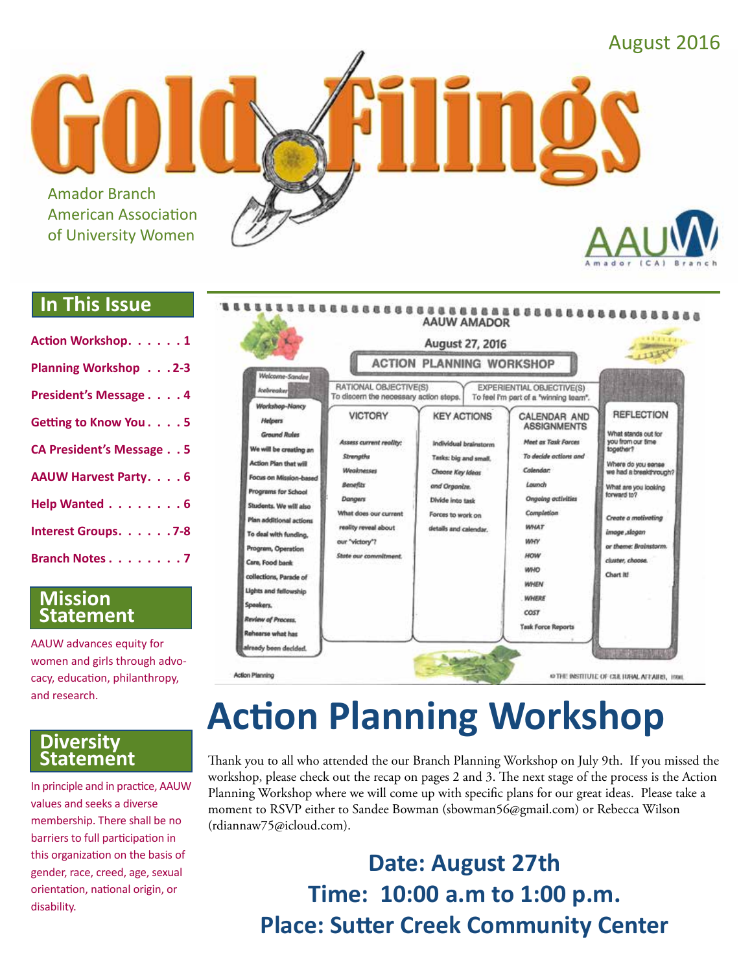

#### **In This Issue**

| Action Workshop. 1              |
|---------------------------------|
| <b>Planning Workshop 2-3</b>    |
| President's Message 4           |
| Getting to Know You. 5          |
| <b>CA President's Message 5</b> |
| <b>AAUW Harvest Party. 6</b>    |
| Help Wanted 6                   |
| Interest Groups. 7-8            |
| <b>Branch Notes 7</b>           |

#### **Mission Statement**

AAUW advances equity for women and girls through advocacy, education, philanthropy, and research.

#### **Diversity Statement**

In principle and in practice, AAUW values and seeks a diverse membership. There shall be no barriers to full participation in this organization on the basis of gender, race, creed, age, sexual orientation, national origin, or disability.



# **Action Planning Workshop**

Thank you to all who attended the our Branch Planning Workshop on July 9th. If you missed the workshop, please check out the recap on pages 2 and 3. The next stage of the process is the Action Planning Workshop where we will come up with specific plans for our great ideas. Please take a moment to RSVP either to Sandee Bowman (sbowman56@gmail.com) or Rebecca Wilson (rdiannaw75@icloud.com).

> **Date: August 27th Time: 10:00 a.m to 1:00 p.m. Place: Sutter Creek Community Center**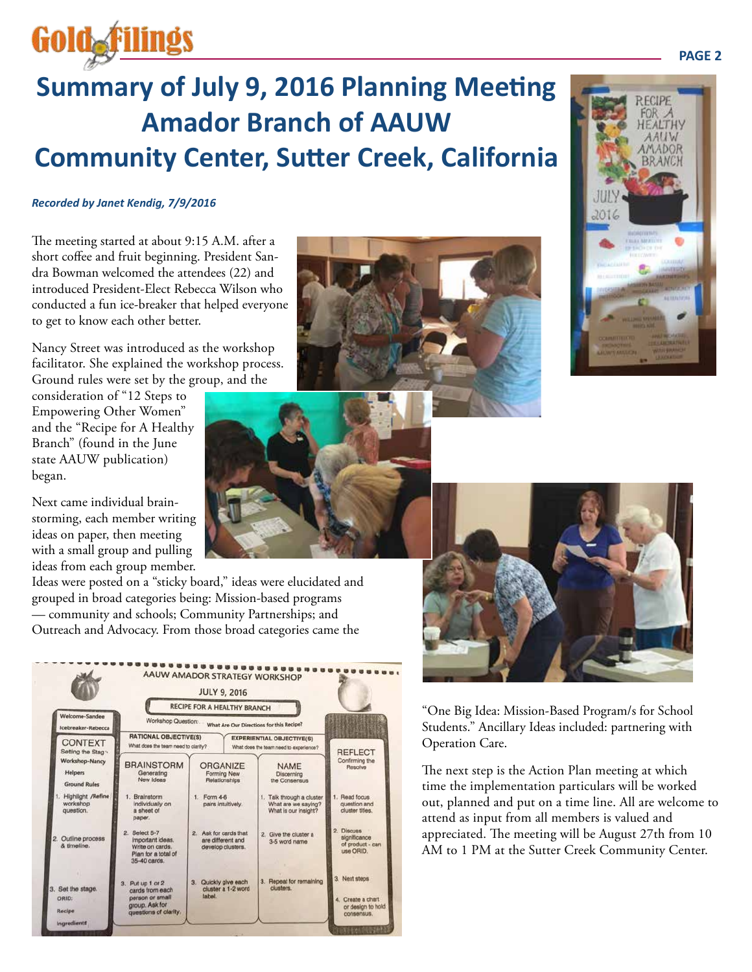# **Summary of July 9, 2016 Planning Meeting Amador Branch of AAUW Community Center, Sutter Creek, California**

#### *Recorded by Janet Kendig, 7/9/2016*

**Gold filings** 

The meeting started at about 9:15 A.M. after a short coffee and fruit beginning. President Sandra Bowman welcomed the attendees (22) and introduced President-Elect Rebecca Wilson who conducted a fun ice-breaker that helped everyone to get to know each other better.

Nancy Street was introduced as the workshop facilitator. She explained the workshop process. Ground rules were set by the group, and the

consideration of "12 Steps to Empowering Other Women" and the "Recipe for A Healthy Branch" (found in the June state AAUW publication) began.

Next came individual brainstorming, each member writing ideas on paper, then meeting with a small group and pulling ideas from each group member.

Ideas were posted on a "sticky board," ideas were elucidated and grouped in broad categories being: Mission-based programs — community and schools; Community Partnerships; and Outreach and Advocacy. From those broad categories came the











"One Big Idea: Mission-Based Program/s for School Students." Ancillary Ideas included: partnering with Operation Care.

The next step is the Action Plan meeting at which time the implementation particulars will be worked out, planned and put on a time line. All are welcome to attend as input from all members is valued and appreciated. The meeting will be August 27th from 10 AM to 1 PM at the Sutter Creek Community Center.

#### **PAGE 2**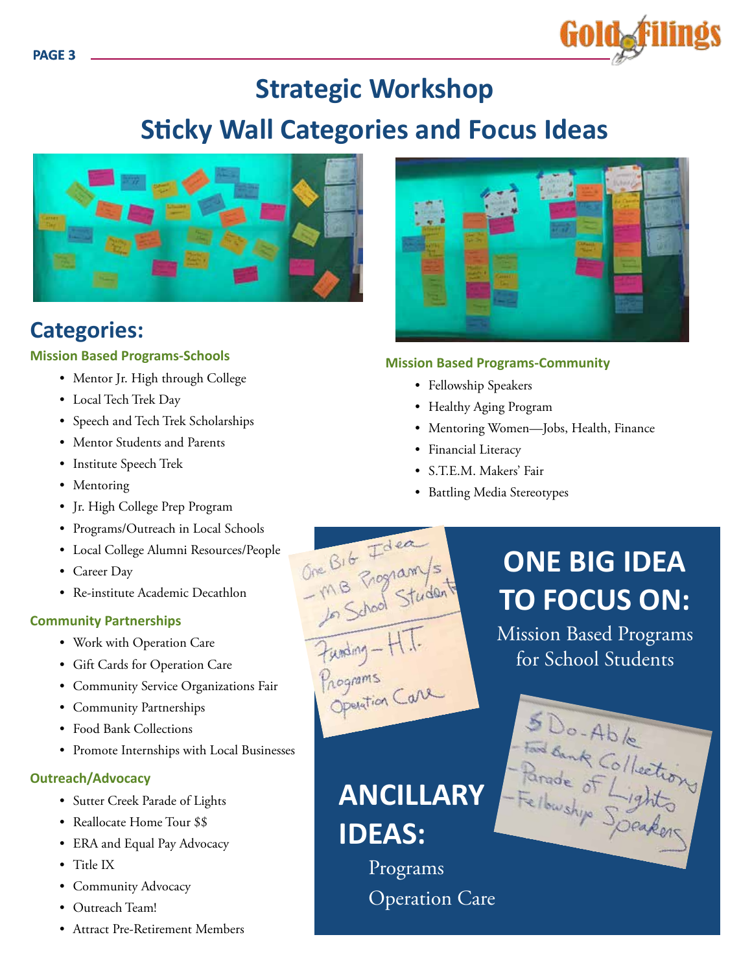

### **Strategic Workshop**

### **Sticky Wall Categories and Focus Ideas**



### **Categories:**

#### **Mission Based Programs-Schools**

- Mentor Jr. High through College
- Local Tech Trek Day
- Speech and Tech Trek Scholarships
- Mentor Students and Parents
- Institute Speech Trek
- Mentoring
- Jr. High College Prep Program
- Programs/Outreach in Local Schools
- Local College Alumni Resources/People
- Career Day
- Re-institute Academic Decathlon

#### **Community Partnerships**

- Work with Operation Care
- Gift Cards for Operation Care
- Community Service Organizations Fair
- Community Partnerships
- Food Bank Collections
- Promote Internships with Local Businesses

#### **Outreach/Advocacy**

- Sutter Creek Parade of Lights
- Reallocate Home Tour \$\$
- ERA and Equal Pay Advocacy
- Title IX
- Community Advocacy
- Outreach Team!
- Attract Pre-Retirement Members



#### **Mission Based Programs-Community**

- Fellowship Speakers
- Healthy Aging Program
- Mentoring Women—Jobs, Health, Finance
- Financial Literacy
- S.T.E.M. Makers' Fair
- Battling Media Stereotypes

# **ONE BIG IDEA TO FOCUS ON:**

Mission Based Programs for School Students

5 Do-Able

**ANCILLARY IDEAS:**

One B16 Idea<br>- MB Program/s<br>- MB School Student

Funding-HT.<br>Programs<br>Operation Care

Programs Operation Care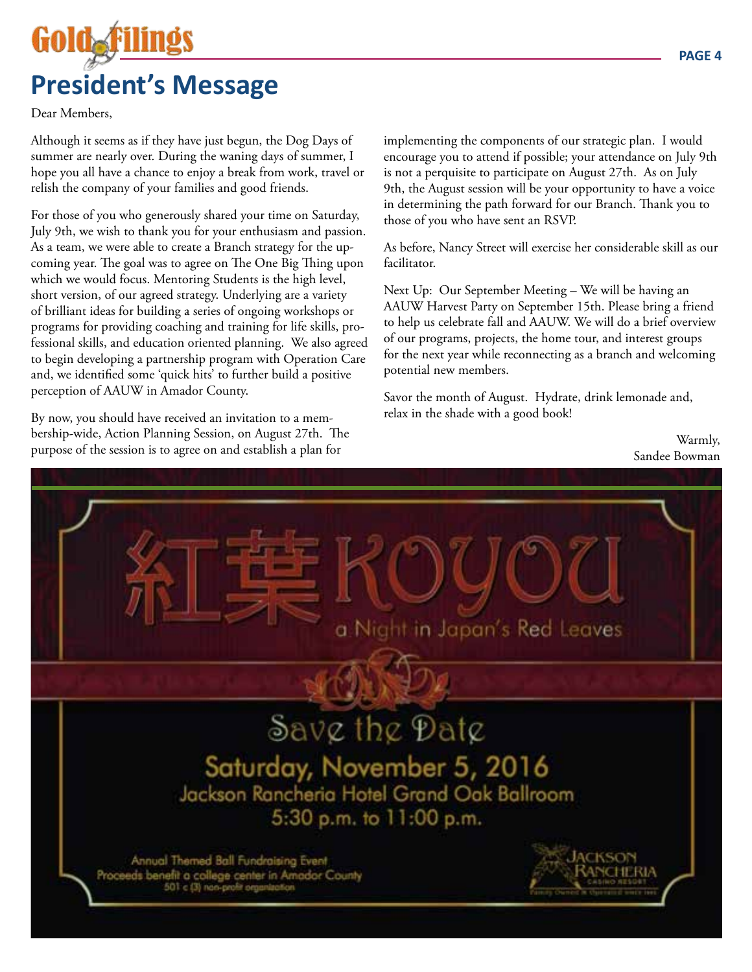# GOIO**ar President's Message**

Dear Members,

Although it seems as if they have just begun, the Dog Days of summer are nearly over. During the waning days of summer, I hope you all have a chance to enjoy a break from work, travel or relish the company of your families and good friends.

For those of you who generously shared your time on Saturday, July 9th, we wish to thank you for your enthusiasm and passion. As a team, we were able to create a Branch strategy for the upcoming year. The goal was to agree on The One Big Thing upon which we would focus. Mentoring Students is the high level, short version, of our agreed strategy. Underlying are a variety of brilliant ideas for building a series of ongoing workshops or programs for providing coaching and training for life skills, professional skills, and education oriented planning. We also agreed to begin developing a partnership program with Operation Care and, we identified some 'quick hits' to further build a positive perception of AAUW in Amador County.

By now, you should have received an invitation to a membership-wide, Action Planning Session, on August 27th. The purpose of the session is to agree on and establish a plan for

implementing the components of our strategic plan. I would encourage you to attend if possible; your attendance on July 9th is not a perquisite to participate on August 27th. As on July 9th, the August session will be your opportunity to have a voice in determining the path forward for our Branch. Thank you to those of you who have sent an RSVP.

As before, Nancy Street will exercise her considerable skill as our facilitator.

Next Up: Our September Meeting – We will be having an AAUW Harvest Party on September 15th. Please bring a friend to help us celebrate fall and AAUW. We will do a brief overview of our programs, projects, the home tour, and interest groups for the next year while reconnecting as a branch and welcoming potential new members.

Savor the month of August. Hydrate, drink lemonade and, relax in the shade with a good book!

> Warmly, Sandee Bowman

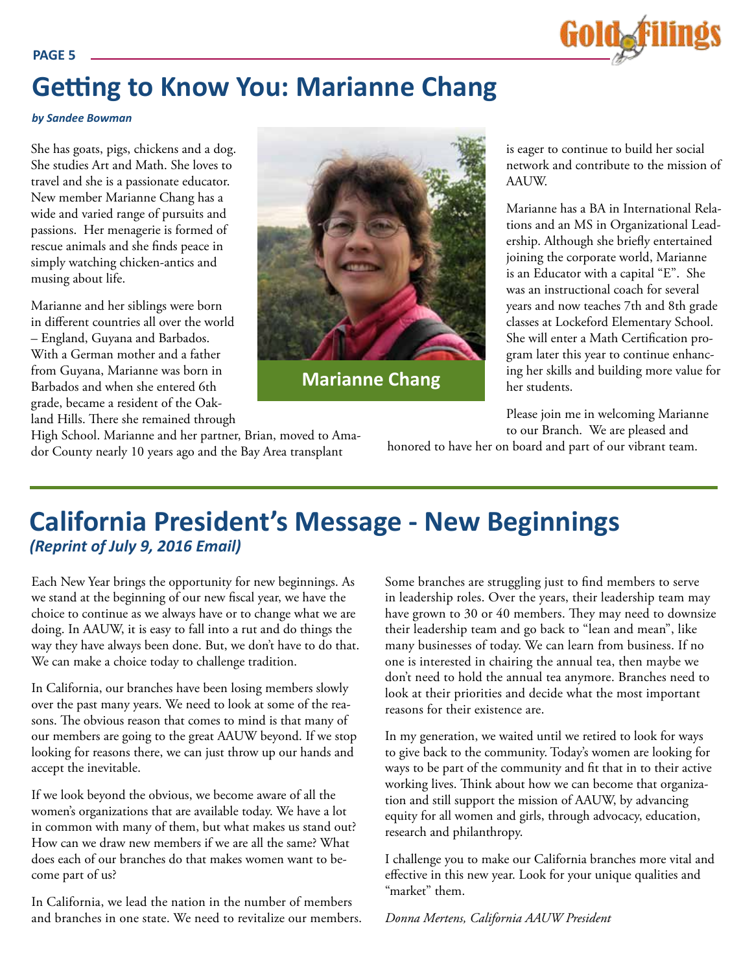## **Getting to Know You: Marianne Chang**

#### *by Sandee Bowman*

She has goats, pigs, chickens and a dog. She studies Art and Math. She loves to travel and she is a passionate educator. New member Marianne Chang has a wide and varied range of pursuits and passions. Her menagerie is formed of rescue animals and she finds peace in simply watching chicken-antics and musing about life.

Marianne and her siblings were born in different countries all over the world – England, Guyana and Barbados. With a German mother and a father from Guyana, Marianne was born in Barbados and when she entered 6th grade, became a resident of the Oakland Hills. There she remained through



**Marianne Chang**

is eager to continue to build her social network and contribute to the mission of AAUW.

Marianne has a BA in International Relations and an MS in Organizational Leadership. Although she briefly entertained joining the corporate world, Marianne is an Educator with a capital "E". She was an instructional coach for several years and now teaches 7th and 8th grade classes at Lockeford Elementary School. She will enter a Math Certification program later this year to continue enhancing her skills and building more value for her students.

Please join me in welcoming Marianne to our Branch. We are pleased and

honored to have her on board and part of our vibrant team.

#### High School. Marianne and her partner, Brian, moved to Amador County nearly 10 years ago and the Bay Area transplant

### **California President's Message - New Beginnings**  *(Reprint of July 9, 2016 Email)*

Each New Year brings the opportunity for new beginnings. As we stand at the beginning of our new fiscal year, we have the choice to continue as we always have or to change what we are doing. In AAUW, it is easy to fall into a rut and do things the way they have always been done. But, we don't have to do that. We can make a choice today to challenge tradition.

In California, our branches have been losing members slowly over the past many years. We need to look at some of the reasons. The obvious reason that comes to mind is that many of our members are going to the great AAUW beyond. If we stop looking for reasons there, we can just throw up our hands and accept the inevitable.

If we look beyond the obvious, we become aware of all the women's organizations that are available today. We have a lot in common with many of them, but what makes us stand out? How can we draw new members if we are all the same? What does each of our branches do that makes women want to become part of us?

In California, we lead the nation in the number of members and branches in one state. We need to revitalize our members. Some branches are struggling just to find members to serve in leadership roles. Over the years, their leadership team may have grown to 30 or 40 members. They may need to downsize their leadership team and go back to "lean and mean", like many businesses of today. We can learn from business. If no one is interested in chairing the annual tea, then maybe we don't need to hold the annual tea anymore. Branches need to look at their priorities and decide what the most important reasons for their existence are.

In my generation, we waited until we retired to look for ways to give back to the community. Today's women are looking for ways to be part of the community and fit that in to their active working lives. Think about how we can become that organization and still support the mission of AAUW, by advancing equity for all women and girls, through advocacy, education, research and philanthropy.

I challenge you to make our California branches more vital and effective in this new year. Look for your unique qualities and "market" them.

*Donna Mertens, California AAUW President*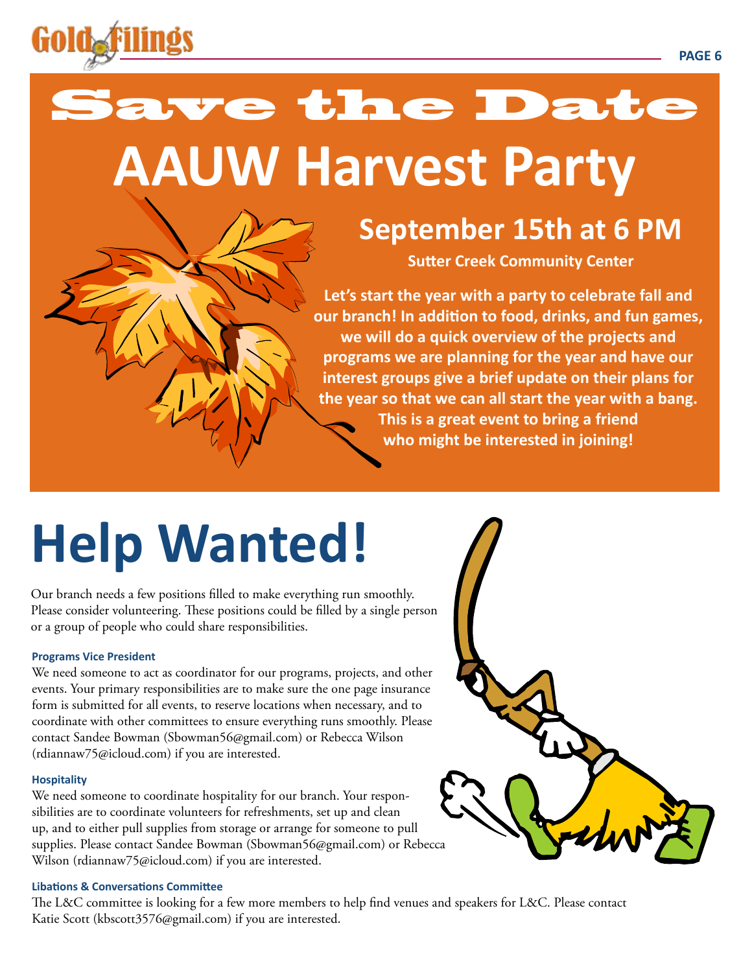

# Save the Date **AAUW Harvest Party**

## **September 15th at 6 PM**

**Sutter Creek Community Center**

**Let's start the year with a party to celebrate fall and our branch! In addition to food, drinks, and fun games, we will do a quick overview of the projects and programs we are planning for the year and have our interest groups give a brief update on their plans for the year so that we can all start the year with a bang. This is a great event to bring a friend who might be interested in joining!**

# **Help Wanted!**

Our branch needs a few positions filled to make everything run smoothly. Please consider volunteering. These positions could be filled by a single person or a group of people who could share responsibilities.

#### **Programs Vice President**

We need someone to act as coordinator for our programs, projects, and other events. Your primary responsibilities are to make sure the one page insurance form is submitted for all events, to reserve locations when necessary, and to coordinate with other committees to ensure everything runs smoothly. Please contact Sandee Bowman (Sbowman56@gmail.com) or Rebecca Wilson (rdiannaw75@icloud.com) if you are interested.

#### **Hospitality**

We need someone to coordinate hospitality for our branch. Your responsibilities are to coordinate volunteers for refreshments, set up and clean up, and to either pull supplies from storage or arrange for someone to pull supplies. Please contact Sandee Bowman (Sbowman56@gmail.com) or Rebecca Wilson (rdiannaw75@icloud.com) if you are interested.

#### **Libations & Conversations Committee**

The L&C committee is looking for a few more members to help find venues and speakers for L&C. Please contact Katie Scott (kbscott3576@gmail.com) if you are interested.

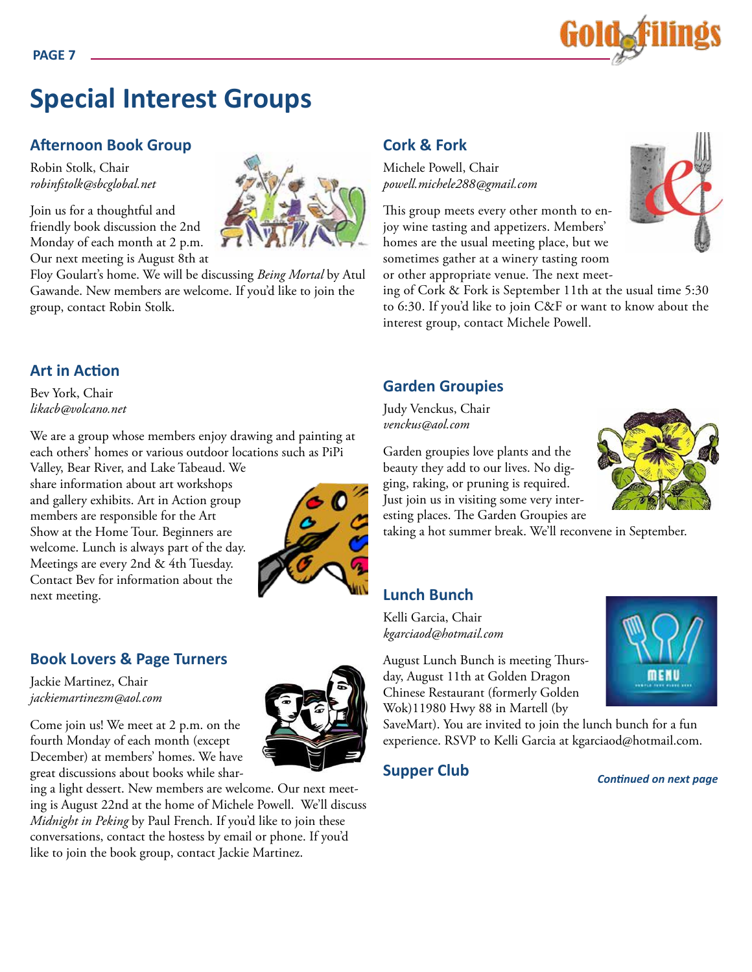

### **Special Interest Groups**

#### **Afternoon Book Group**

Robin Stolk, Chair *robinfstolk@sbcglobal.net*

Join us for a thoughtful and friendly book discussion the 2nd Monday of each month at 2 p.m. Our next meeting is August 8th at

Floy Goulart's home. We will be discussing *Being Mortal* by Atul Gawande. New members are welcome. If you'd like to join the group, contact Robin Stolk.

#### **Art in Action**

Bev York, Chair *likacb@volcano.net*

We are a group whose members enjoy drawing and painting at each others' homes or various outdoor locations such as PiPi

Valley, Bear River, and Lake Tabeaud. We share information about art workshops and gallery exhibits. Art in Action group members are responsible for the Art Show at the Home Tour. Beginners are welcome. Lunch is always part of the day. Meetings are every 2nd & 4th Tuesday. Contact Bev for information about the next meeting.



#### **Book Lovers & Page Turners**

Jackie Martinez, Chair *jackiemartinezm@aol.com*

Come join us! We meet at 2 p.m. on the fourth Monday of each month (except December) at members' homes. We have great discussions about books while shar-

ing a light dessert. New members are welcome. Our next meeting is August 22nd at the home of Michele Powell. We'll discuss *Midnight in Peking* by Paul French. If you'd like to join these conversations, contact the hostess by email or phone. If you'd like to join the book group, contact Jackie Martinez.

#### **Cork & Fork**

Michele Powell, Chair *powell.michele288@gmail.com*

This group meets every other month to enjoy wine tasting and appetizers. Members' homes are the usual meeting place, but we sometimes gather at a winery tasting room or other appropriate venue. The next meet-



ing of Cork & Fork is September 11th at the usual time 5:30 to 6:30. If you'd like to join C&F or want to know about the interest group, contact Michele Powell.

#### **Garden Groupies**

Judy Venckus, Chair *venckus@aol.com*

Garden groupies love plants and the beauty they add to our lives. No digging, raking, or pruning is required. Just join us in visiting some very interesting places. The Garden Groupies are

taking a hot summer break. We'll reconvene in September.

#### **Lunch Bunch**

Kelli Garcia, Chair *kgarciaod@hotmail.com* 

August Lunch Bunch is meeting Thursday, August 11th at Golden Dragon Chinese Restaurant (formerly Golden Wok)11980 Hwy 88 in Martell (by

SaveMart). You are invited to join the lunch bunch for a fun experience. RSVP to Kelli Garcia at kgarciaod@hotmail.com.

#### **Supper Club**

*Continued on next page*







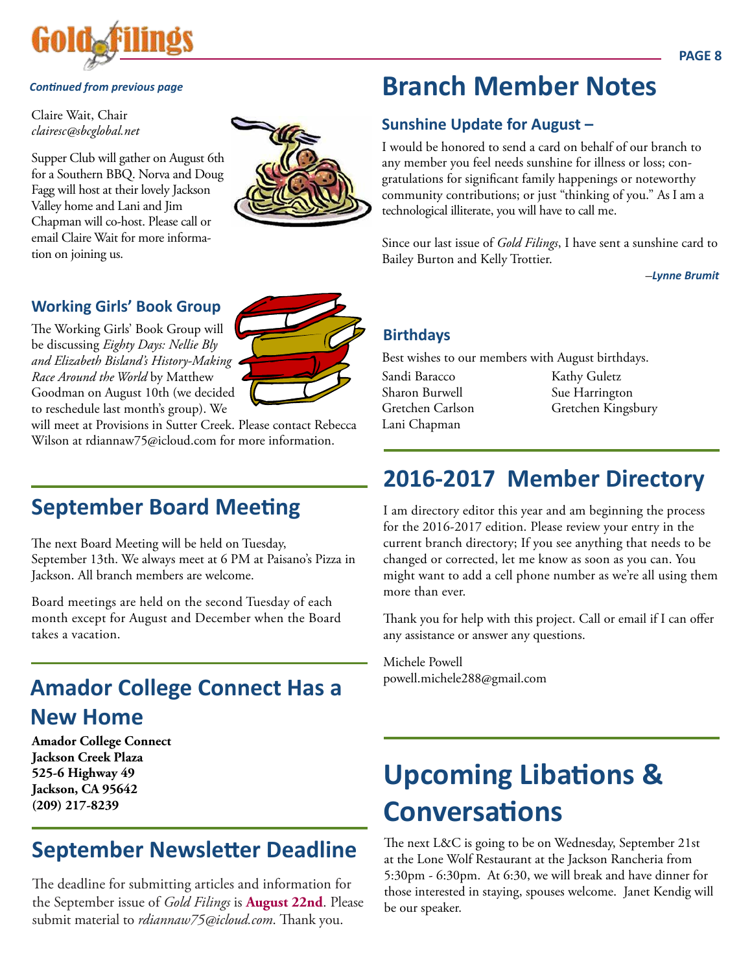

#### *Continued from previous page*

Claire Wait, Chair *clairesc@sbcglobal.net*

Supper Club will gather on August 6th for a Southern BBQ. Norva and Doug Fagg will host at their lovely Jackson Valley home and Lani and Jim Chapman will co-host. Please call or email Claire Wait for more information on joining us.



#### **Working Girls' Book Group**

The Working Girls' Book Group will be discussing *Eighty Days: Nellie Bly and Elizabeth Bisland's History-Making Race Around the World* by Matthew Goodman on August 10th (we decided to reschedule last month's group). We



will meet at Provisions in Sutter Creek. Please contact Rebecca Wilson at rdiannaw75@icloud.com for more information.

### **September Board Meeting**

The next Board Meeting will be held on Tuesday, September 13th. We always meet at 6 PM at Paisano's Pizza in Jackson. All branch members are welcome.

Board meetings are held on the second Tuesday of each month except for August and December when the Board takes a vacation.

### **Amador College Connect Has a New Home**

**Amador College Connect Jackson Creek Plaza 525-6 Highway 49 Jackson, CA 95642 (209) 217-8239**

### **September Newsletter Deadline**

The deadline for submitting articles and information for the September issue of *Gold Filings* is **August 22nd**. Please submit material to *rdiannaw75@icloud.com*. Thank you.

### **Branch Member Notes**

#### **Sunshine Update for August –**

I would be honored to send a card on behalf of our branch to any member you feel needs sunshine for illness or loss; congratulations for significant family happenings or noteworthy community contributions; or just "thinking of you." As I am a technological illiterate, you will have to call me.

Since our last issue of *Gold Filings*, I have sent a sunshine card to Bailey Burton and Kelly Trottier.

–*Lynne Brumit*

#### **Birthdays**

Best wishes to our members with August birthdays.

Sandi Baracco Sharon Burwell Gretchen Carlson Lani Chapman

Kathy Guletz Sue Harrington Gretchen Kingsbury

### **2016-2017 Member Directory**

I am directory editor this year and am beginning the process for the 2016-2017 edition. Please review your entry in the current branch directory; If you see anything that needs to be changed or corrected, let me know as soon as you can. You might want to add a cell phone number as we're all using them more than ever.

Thank you for help with this project. Call or email if I can offer any assistance or answer any questions.

Michele Powell powell.michele288@gmail.com

## **Upcoming Libations & Conversations**

The next L&C is going to be on Wednesday, September 21st at the Lone Wolf Restaurant at the Jackson Rancheria from 5:30pm - 6:30pm. At 6:30, we will break and have dinner for those interested in staying, spouses welcome. Janet Kendig will be our speaker.